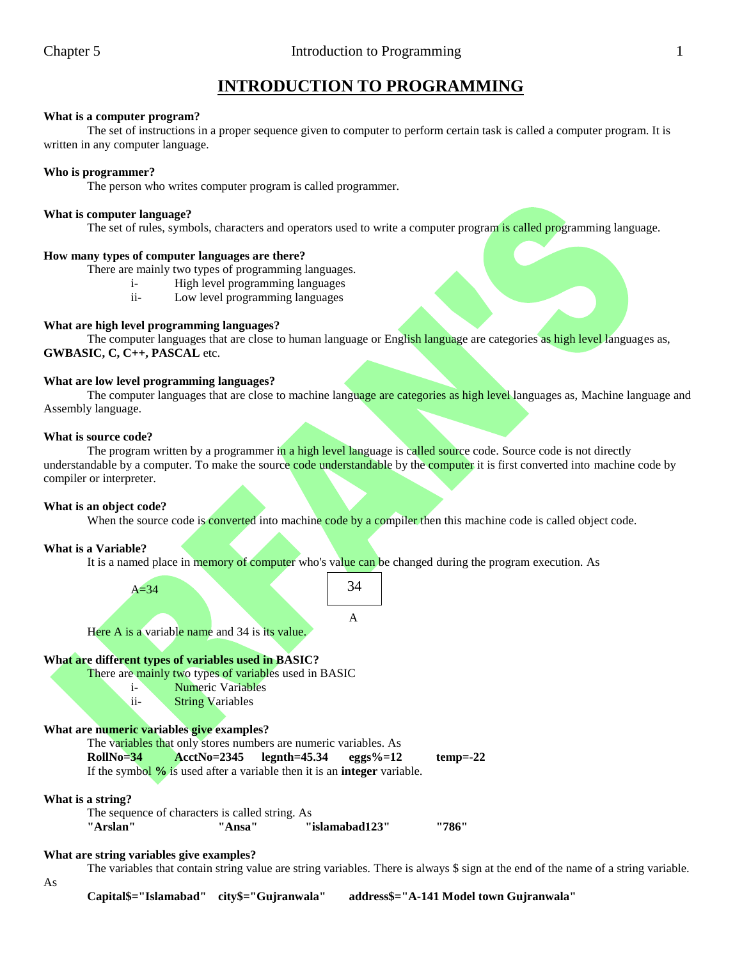# **INTRODUCTION TO PROGRAMMING**

# **What is a computer program?**

The set of instructions in a proper sequence given to computer to perform certain task is called a computer program. It is written in any computer language.

### **Who is programmer?**

The person who writes computer program is called programmer.

### **What is computer language?**

The set of rules, symbols, characters and operators used to write a computer program is called programming language.

#### **How many types of computer languages are there?**

There are mainly two types of programming languages.

- i- High level programming languages
- ii- Low level programming languages

# **What are high level programming languages?**

The computer languages that are close to human language or English language are categories as high level languages as, **GWBASIC, C, C++, PASCAL** etc.

### **What are low level programming languages?**

The computer languages that are close to machine language are categories as high level languages as, Machine language and Assembly language.

#### **What is source code?**

The program written by a programmer in a high level language is called source code. Source code is not directly understandable by a computer. To make the source code understandable by the computer it is first converted into machine code by compiler or interpreter.

# **What is an object code?**

When the source code is **converted** into machine code by a compiler then this machine code is called object code.

# **What is a Variable?**

It is a named place in memory of computer who's value can be changed during the program execution. As

A

34

 $A=34$ 

Here A is a variable name and 34 is its value.

# **What are different types of variables used in BASIC?**

There are mainly two types of variables used in BASIC

i- Numeric Variables

ii- String Variables

# **What are numeric variables give examples?**

The variables that only stores numbers are numeric variables. As **RollNo=34 AcctNo=2345 legnth=45.34 eggs%=12 temp=-22** If the symbol **%** is used after a variable then it is an **integer** variable.

# **What is a string?**

The sequence of characters is called string. As **"Arslan" "Ansa" "islamabad123" "786"**

# **What are string variables give examples?**

The variables that contain string value are string variables. There is always \$ sign at the end of the name of a string variable.

As

**Capital\$="Islamabad" city\$="Gujranwala" address\$="A-141 Model town Gujranwala"**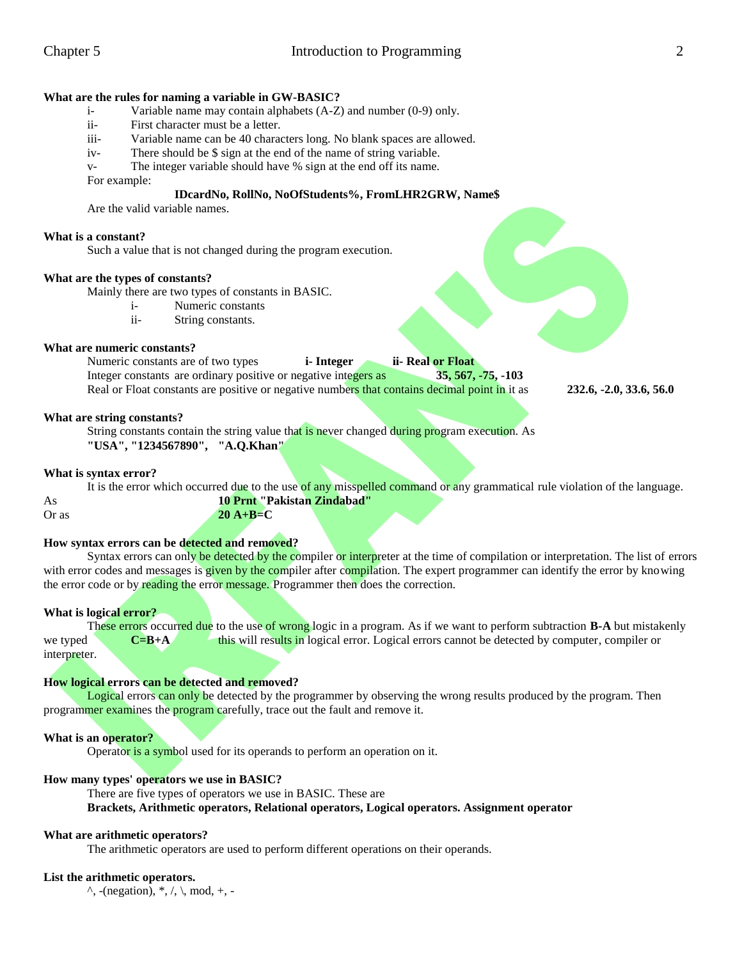#### **What are the rules for naming a variable in GW-BASIC?**

- i- Variable name may contain alphabets (A-Z) and number (0-9) only.
- ii- First character must be a letter.
- iii- Variable name can be 40 characters long. No blank spaces are allowed.
- iv- There should be \$ sign at the end of the name of string variable.

v- The integer variable should have % sign at the end off its name.

For example:

### **IDcardNo, RollNo, NoOfStudents%, FromLHR2GRW, Name\$**

Are the valid variable names.

#### **What is a constant?**

Such a value that is not changed during the program execution.

#### **What are the types of constants?**

Mainly there are two types of constants in BASIC.

- i- Numeric constants
- ii- String constants.

#### **What are numeric constants?**

Numeric constants are of two types **i- Integer ii- Real or Float** Integer constants are ordinary positive or negative integers as **35, 567, -75, -103** Real or Float constants are positive or negative numbers that contains decimal point in it as **232.6, -2.0, 33.6, 56.0** 

#### **What are string constants?**

String constants contain the string value that is never changed during program execution. As **"USA", "1234567890", "A.Q.Khan"**

#### **What is syntax error?**

It is the error which occurred due to the use of any misspelled command or any grammatical rule violation of the language. As **10 Prnt "Pakistan Zindabad"** Or as **20 A+B=C**

#### **How syntax errors can be detected and removed?**

Syntax errors can only be detected by the compiler or interpreter at the time of compilation or interpretation. The list of errors with error codes and messages is given by the compiler after compilation. The expert programmer can identify the error by knowing the error code or by reading the error message. Programmer then does the correction.

#### **What is logical error?**

These errors occurred due to the use of wrong logic in a program. As if we want to perform subtraction **B-A** but mistakenly we typed **C=B+A** this will results in logical error. Logical errors cannot be detected by computer, compiler or interpreter.

#### **How logical errors can be detected and removed?**

Logical errors can only be detected by the programmer by observing the wrong results produced by the program. Then programmer examines the program carefully, trace out the fault and remove it.

#### **What is an operator?**

Operator is a symbol used for its operands to perform an operation on it.

#### **How many types' operators we use in BASIC?**

There are five types of operators we use in BASIC. These are **Brackets, Arithmetic operators, Relational operators, Logical operators. Assignment operator**

#### **What are arithmetic operators?**

The arithmetic operators are used to perform different operations on their operands.

#### **List the arithmetic operators.**

 $\hat{\ }$ , -(negation),  $\hat{\ }$ ,  $\hat{\ }$ ,  $\hat{\ }$ , mod, +, -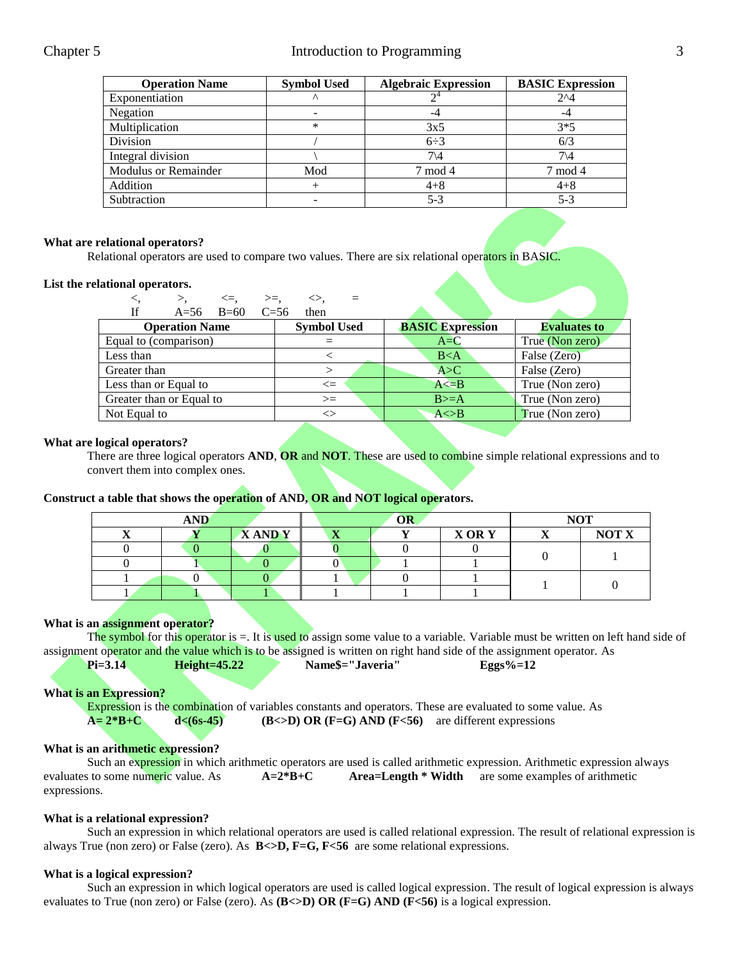| <b>Operation Name</b>       | <b>Symbol Used</b> | <b>Algebraic Expression</b> | <b>BASIC Expression</b> |  |
|-----------------------------|--------------------|-----------------------------|-------------------------|--|
| Exponentiation              | $\wedge$           |                             | $2^{\wedge}4$           |  |
| Negation                    |                    |                             | -4                      |  |
| Multiplication              | *                  | 3x5                         | $3*5$                   |  |
| Division                    |                    | $6\div 3$                   | 6/3                     |  |
| Integral division           |                    | 7\4                         | $7\backslash 4$         |  |
| <b>Modulus or Remainder</b> | Mod                | 7 mod 4                     | 7 mod 4                 |  |
| Addition                    |                    | $4 + 8$                     | $4 + 8$                 |  |
| Subtraction                 |                    | $5 - 3$                     | $5-3$                   |  |

# **What are relational operators?**

Relational operators are used to compare two values. There are six relational operators in BASIC.

#### **List the relational operators.**

| $\lt =,$                             | $>=,$<br>◇.        |                         |                     |  |
|--------------------------------------|--------------------|-------------------------|---------------------|--|
| <b>If</b><br>$A=56$ $B=60$<br>$C=56$ | then               |                         |                     |  |
| <b>Operation Name</b>                | <b>Symbol Used</b> | <b>BASIC Expression</b> | <b>Evaluates to</b> |  |
| Equal to (comparison)                |                    | $A = C$                 | True (Non zero)     |  |
| Less than                            |                    | B < A                   | False (Zero)        |  |
| Greater than                         | >                  | A > C                   | False (Zero)        |  |
| Less than or Equal to                | $\leq$             | $A \le B$               | True (Non zero)     |  |
| Greater than or Equal to             | $>=$               | $B>=A$                  | True (Non zero)     |  |
| Not Equal to                         | ⌒                  | $A \triangle B$         | True (Non zero)     |  |

#### **What are logical operators?**

There are three logical operators **AND**, **OR** and **NOT**. These are used to combine simple relational expressions and to convert them into complex ones.

#### **Construct a table that shows the operation of AND, OR and NOT logical operators.**

| <b>AND</b> |  | OR           |                                  |  | <b>NOT</b>  |  |              |
|------------|--|--------------|----------------------------------|--|-------------|--|--------------|
| --         |  | <b>XANDY</b> | $\overline{ }$<br>$\overline{A}$ |  | <b>XORY</b> |  | <b>NOT X</b> |
|            |  |              |                                  |  |             |  |              |
|            |  |              |                                  |  |             |  |              |
|            |  |              |                                  |  |             |  |              |
|            |  |              |                                  |  |             |  |              |

# **What is an assignment operator?**

The symbol for this operator is =. It is used to assign some value to a variable. Variable must be written on left hand side of assignment operator and the value which is to be assigned is written on right hand side of the assignment operator. As

**Pi=3.14 Height=45.22 Name\$="Javeria" Eggs%=12**

#### **What is an Expression?**

Expression is the combination of variables constants and operators. These are evaluated to some value. As  $A = 2*B+C$  **d**<(6s-45) **(B**<>D) OR (F=G) AND (F<56) are different expressions

#### **What is an arithmetic expression?**

Such an expression in which arithmetic operators are used is called arithmetic expression. Arithmetic expression always evaluates to some numeric value. As **A=2\*B+C Area=Length \* Width** are some examples of arithmetic expressions.

# **What is a relational expression?**

Such an expression in which relational operators are used is called relational expression. The result of relational expression is always True (non zero) or False (zero). As  $B \ll D$ ,  $F = G$ ,  $F \ll 56$  are some relational expressions.

# **What is a logical expression?**

Such an expression in which logical operators are used is called logical expression. The result of logical expression is always evaluates to True (non zero) or False (zero). As **(B** $\leftarrow$ D) **OR** (**F**=**G**) **AND** (**F**<56) is a logical expression.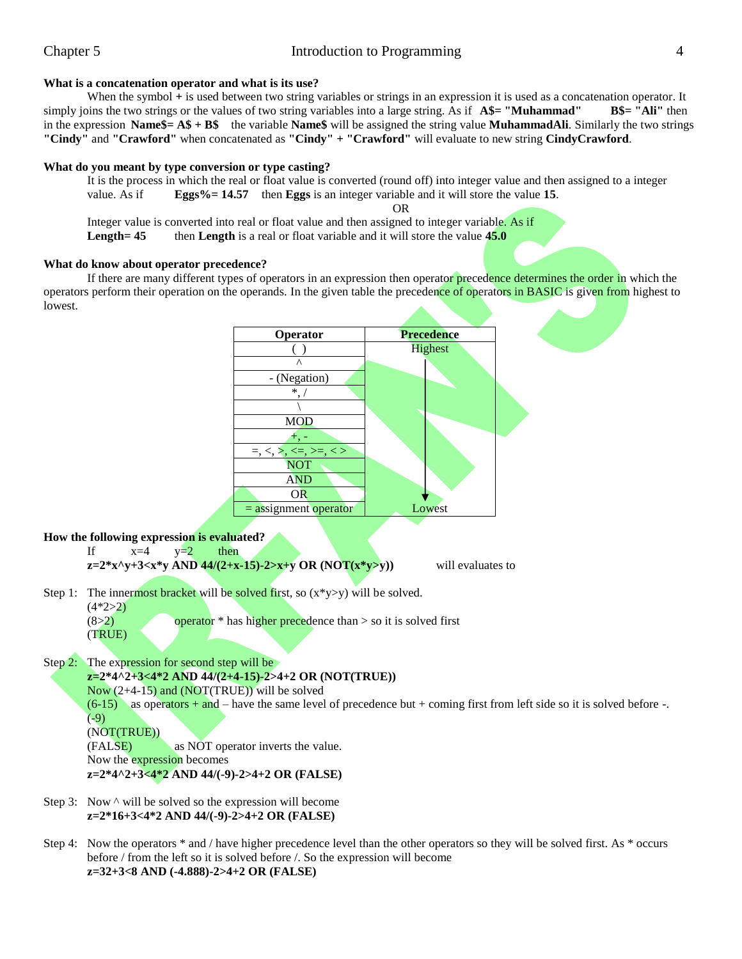# **What is a concatenation operator and what is its use?**

When the symbol + is used between two string variables or strings in an expression it is used as a concatenation operator. It simply joins the two strings or the values of two string variables into a large string. As if  $A$ \$= "**Muhammad" B**\$= "Ali" then in the expression **Name\$= A\$ + B\$** the variable **Name\$** will be assigned the string value **MuhammadAli**. Similarly the two strings **"Cindy"** and **"Crawford"** when concatenated as **"Cindy" + "Crawford"** will evaluate to new string **CindyCrawford**.

### **What do you meant by type conversion or type casting?**

It is the process in which the real or float value is converted (round off) into integer value and then assigned to a integer value. As if **Eggs%= 14.57** then **Eggs** is an integer variable and it will store the value **15**. OR

Integer value is converted into real or float value and then assigned to integer variable. As if **Length** = 45 then **Length** is a real or float variable and it will store the value 45.0

#### **What do know about operator precedence?**

If there are many different types of operators in an expression then operator precedence determines the order in which the operators perform their operation on the operands. In the given table the precedence of operators in BASIC is given from highest to lowest.



#### **How the following expression is evaluated?**

```
If x=4 y=2 then
z=2*x\gamma +3<x*y AND 44/(2+x-15)-2>x+y OR (NOT(x*y>y)) will evaluates to
```
Step 1: The innermost bracket will be solved first, so  $(x*y>y)$  will be solved.

 $(4*2>2)$ 

```
(8>2) operator * has higher precedence than > so it is solved first
```
(TRUE)

Step 2: The expression for second step will be

# **z=2\*4^2+3<4\*2 AND 44/(2+4-15)-2>4+2 OR (NOT(TRUE))**

Now  $(2+4-15)$  and  $(NOT(TRUE))$  will be solved

 $(6-15)$  as operators + and – have the same level of precedence but + coming first from left side so it is solved before -.  $(-9)$ (NOT(TRUE))

(FALSE) as NOT operator inverts the value. Now the expression becomes **z=2\*4^2+3<4\*2 AND 44/(-9)-2>4+2 OR (FALSE)**

- Step 3: Now  $\land$  will be solved so the expression will become **z=2\*16+3<4\*2 AND 44/(-9)-2>4+2 OR (FALSE)**
- Step 4: Now the operators \* and / have higher precedence level than the other operators so they will be solved first. As \* occurs before / from the left so it is solved before /. So the expression will become **z=32+3<8 AND (-4.888)-2>4+2 OR (FALSE)**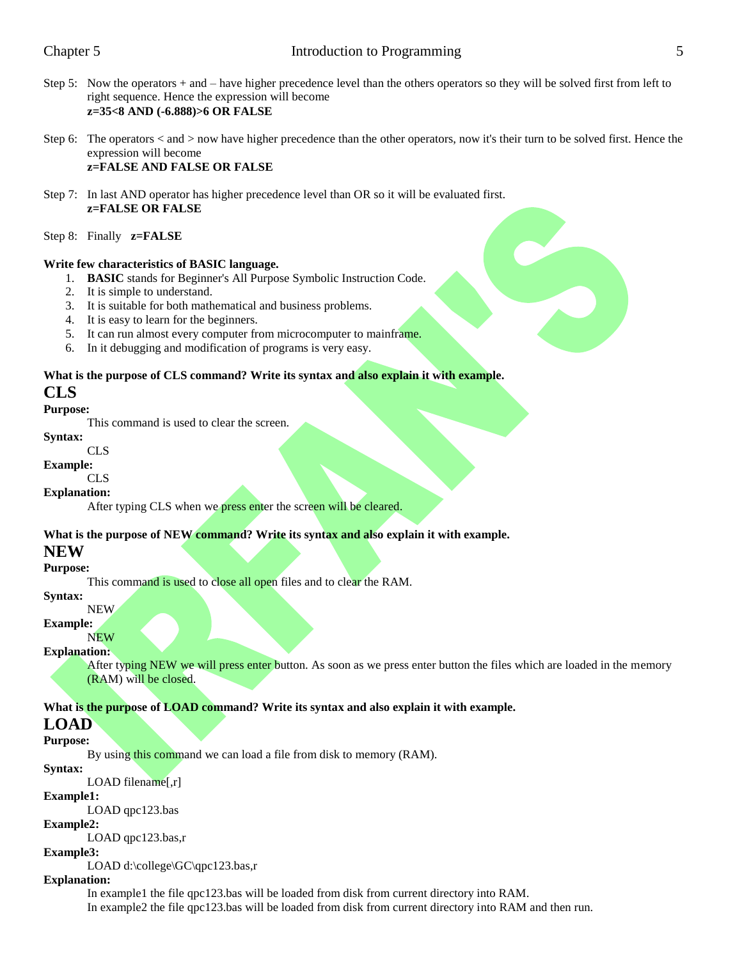- Step 5: Now the operators + and have higher precedence level than the others operators so they will be solved first from left to right sequence. Hence the expression will become **z=35<8 AND (-6.888)>6 OR FALSE**
- Step 6: The operators < and > now have higher precedence than the other operators, now it's their turn to be solved first. Hence the expression will become **z=FALSE AND FALSE OR FALSE**
- Step 7: In last AND operator has higher precedence level than OR so it will be evaluated first. **z=FALSE OR FALSE**
- Step 8: Finally **z=FALSE**

#### **Write few characteristics of BASIC language.**

- 1. **BASIC** stands for Beginner's All Purpose Symbolic Instruction Code.
- 2. It is simple to understand.
- 3. It is suitable for both mathematical and business problems.
- 4. It is easy to learn for the beginners.
- 5. It can run almost every computer from microcomputer to mainframe.
- 6. In it debugging and modification of programs is very easy.

# **What is the purpose of CLS command? Write its syntax and also explain it with example.**

# **CLS**

# **Purpose:**

This command is used to clear the screen.

#### **Syntax:** CLS

# **Example:**

# CL<sub>S</sub>

# **Explanation:**

After typing CLS when we press enter the screen will be cleared.

# **What is the purpose of NEW command? Write its syntax and also explain it with example.**

# **NEW**

# **Purpose:**

This command is used to close all open files and to clear the RAM.

**Syntax:**

#### NEW **Example:**

# **NEW**

# **Explanation:**

After typing NEW we will press enter button. As soon as we press enter button the files which are loaded in the memory (RAM) will be closed.

# **What is the purpose of LOAD command? Write its syntax and also explain it with example.**

# **LOAD**

# **Purpose:**

By using this command we can load a file from disk to memory (RAM).

# **Syntax:**

LOAD filename[,r]

# **Example1:**

LOAD qpc123.bas

# **Example2:**

LOAD qpc123.bas,r

# **Example3:**

LOAD d:\college\GC\qpc123.bas,r

# **Explanation:**

In example1 the file qpc123.bas will be loaded from disk from current directory into RAM. In example2 the file qpc123.bas will be loaded from disk from current directory into RAM and then run.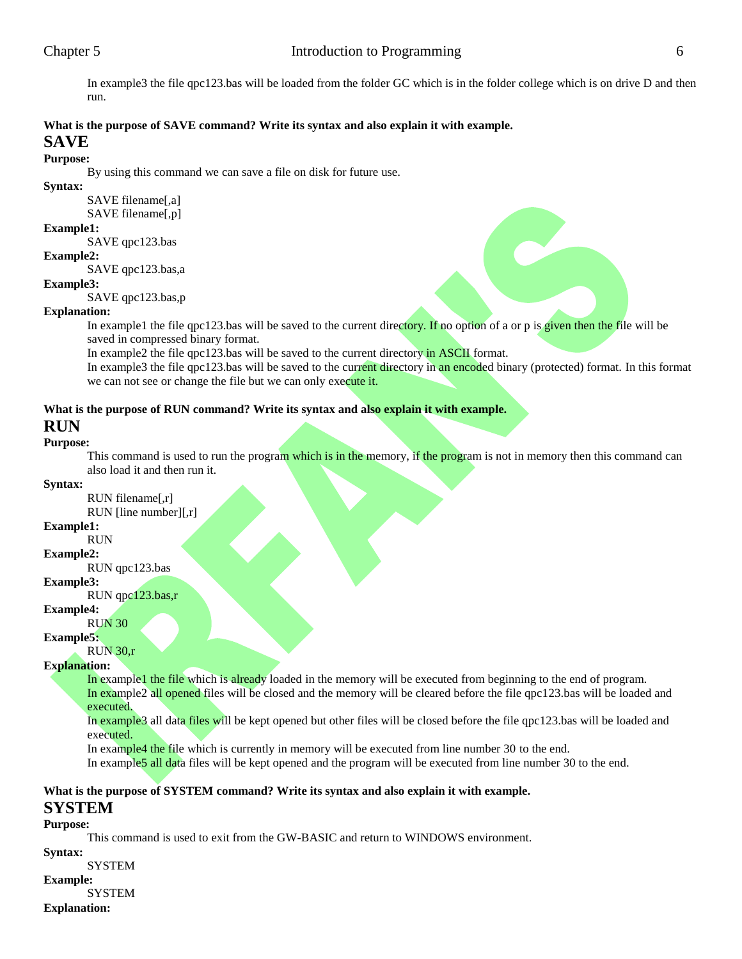In example3 the file qpc123.bas will be loaded from the folder GC which is in the folder college which is on drive D and then run.

# **What is the purpose of SAVE command? Write its syntax and also explain it with example. SAVE**

# **Purpose:**

By using this command we can save a file on disk for future use.

**Syntax:**

SAVE filename[,a] SAVE filename[,p]

# **Example1:**

SAVE qpc123.bas

# **Example2:**

SAVE qpc123.bas,a

# **Example3:**

SAVE qpc123.bas,p

# **Explanation:**

In example1 the file qpc123.bas will be saved to the current directory. If no option of a or p is given then the file will be saved in compressed binary format.

In example2 the file qpc123.bas will be saved to the current directory in ASCII format.

In example3 the file qpc123.bas will be saved to the current directory in an encoded binary (protected) format. In this format we can not see or change the file but we can only execute it.

# **What is the purpose of RUN command? Write its syntax and also explain it with example.**

# **RUN**

# **Purpose:**

This command is used to run the program which is in the memory, if the program is not in memory then this command can also load it and then run it.

# **Syntax:**

RUN filename[,r]

# RUN [line number][,r]

#### **Example1:** RUN

**Example2:**

#### RUN qpc123.bas

**Example3:**

# RUN qpc123.bas,r

# **Example4:**

# RUN 30

**Example5:**

# RUN 30,r

# **Explanation:**

In example1 the file which is already loaded in the memory will be executed from beginning to the end of program. In example2 all opened files will be closed and the memory will be cleared before the file qpc123.bas will be loaded and executed.

# In example3 all data files will be kept opened but other files will be closed before the file qpc123.bas will be loaded and executed.

In example4 the file which is currently in memory will be executed from line number 30 to the end.

In example5 all data files will be kept opened and the program will be executed from line number 30 to the end.

# **What is the purpose of SYSTEM command? Write its syntax and also explain it with example.**

# **SYSTEM**

# **Purpose:**

This command is used to exit from the GW-BASIC and return to WINDOWS environment.

**Syntax:**

SYSTEM

**Example: SYSTEM** 

**Explanation:**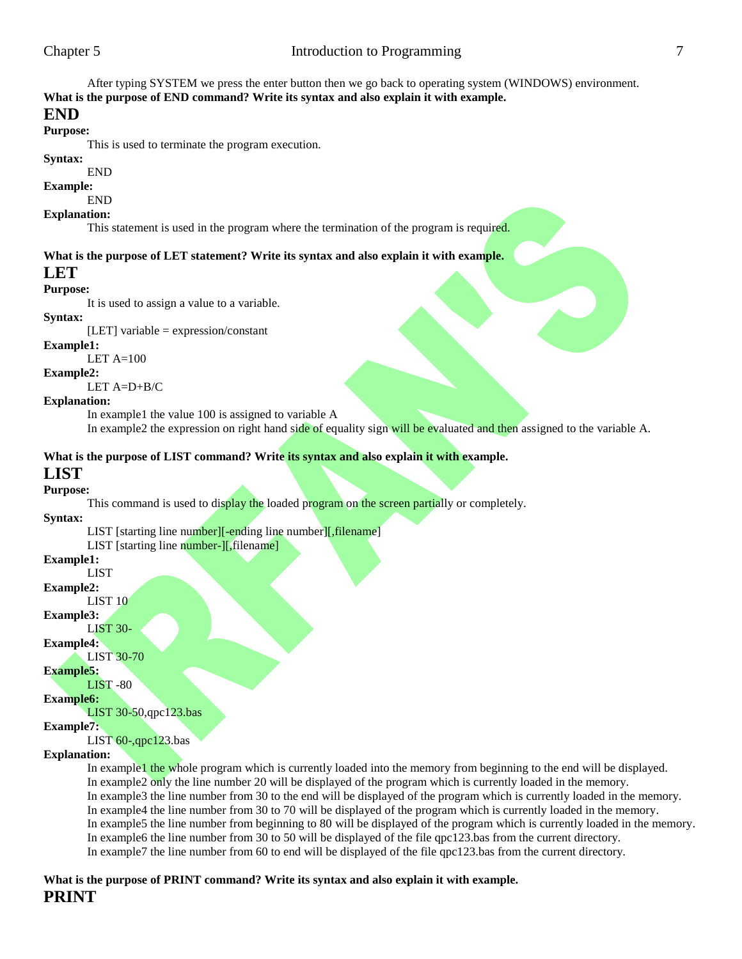After typing SYSTEM we press the enter button then we go back to operating system (WINDOWS) environment. **What is the purpose of END command? Write its syntax and also explain it with example.**

# **END**

**Purpose:**

This is used to terminate the program execution.

# **Syntax:**

END

#### **Example:** END

**Explanation:**

This statement is used in the program where the termination of the program is required.

# **What is the purpose of LET statement? Write its syntax and also explain it with example.**

# **LET**

# **Purpose:**

It is used to assign a value to a variable.

# **Syntax:**

[LET] variable = expression/constant

# **Example1:**

LET  $A=100$ 

# **Example2:**

LET A=D+B/C

# **Explanation:**

In example1 the value 100 is assigned to variable A

In example2 the expression on right hand side of equality sign will be evaluated and then assigned to the variable A.

# **What is the purpose of LIST command? Write its syntax and also explain it with example.**

# **LIST**

**Purpose:**

This command is used to display the loaded program on the screen partially or completely.

# **Syntax:**

LIST [starting line number][-ending line number][, filename]

LIST [starting line number-][,filename]

# **Example1:**

LIST

#### **Example2:** LIST 10

**Example3:**

# LIST 30-

**Example4:**

# LIST 30-70

**Example5:**

LIST -80

# **Example6:**

LIST 30-50,qpc123.bas

# **Example7:**

# LIST  $60$ -,qpc123.bas

**Explanation:**

In example1 the whole program which is currently loaded into the memory from beginning to the end will be displayed. In example2 only the line number 20 will be displayed of the program which is currently loaded in the memory. In example3 the line number from 30 to the end will be displayed of the program which is currently loaded in the memory. In example4 the line number from 30 to 70 will be displayed of the program which is currently loaded in the memory. In example5 the line number from beginning to 80 will be displayed of the program which is currently loaded in the memory. In example6 the line number from 30 to 50 will be displayed of the file qpc123.bas from the current directory. In example7 the line number from 60 to end will be displayed of the file qpc123.bas from the current directory.

# **What is the purpose of PRINT command? Write its syntax and also explain it with example. PRINT**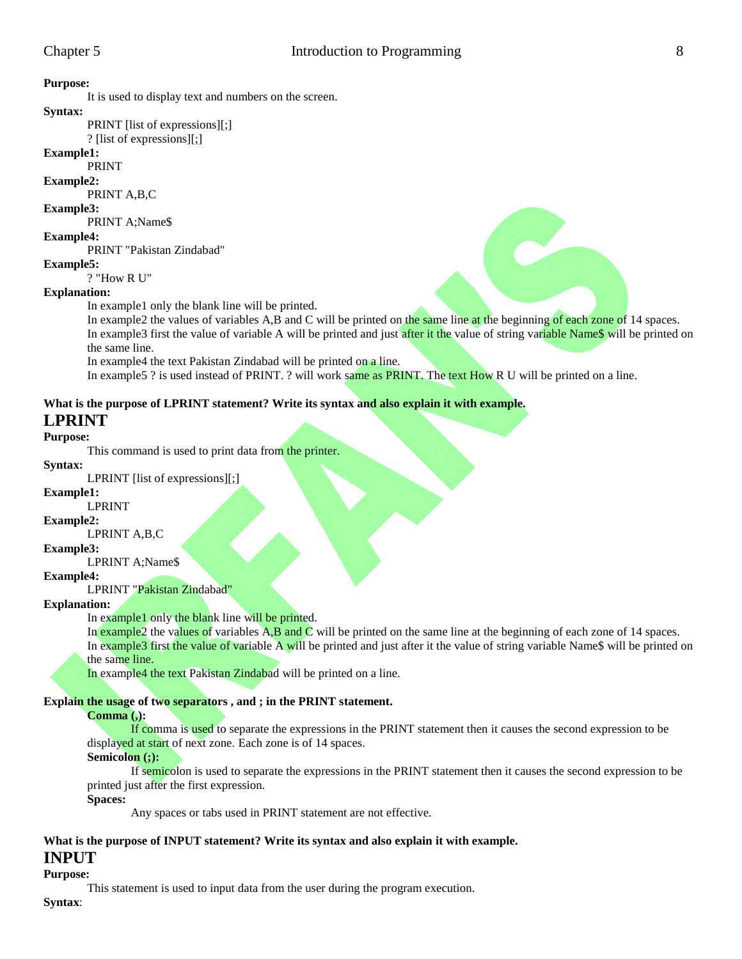**Purpose:**

It is used to display text and numbers on the screen.

#### **Syntax:**

PRINT [list of expressions][;]

? [list of expressions][;]

# **Example1:**

PRINT

# **Example2:**

PRINT A,B,C

# **Example3:**

PRINT A;Name\$

# **Example4:**

PRINT "Pakistan Zindabad"

# **Example5:**

? "How R U"

# **Explanation:**

In example1 only the blank line will be printed.

In example2 the values of variables A,B and C will be printed on the same line at the beginning of each zone of 14 spaces. In example3 first the value of variable A will be printed and just after it the value of string variable Name\$ will be printed on the same line.

In example4 the text Pakistan Zindabad will be printed on a line.

In example5 ? is used instead of PRINT. ? will work same as PRINT. The text How R U will be printed on a line.

# **What is the purpose of LPRINT statement? Write its syntax and also explain it with example.**

# **LPRINT**

# **Purpose:**

This command is used to print data from the printer.

# **Syntax:**

LPRINT [list of expressions][;]

#### **Example1:**

LPRINT

# **Example2:**

LPRINT A,B,C

# **Example3:**

LPRINT A;Name\$

# **Example4:**

LPRINT "Pakistan Zindabad"

# **Explanation:**

In example1 only the blank line will be printed.

In example2 the values of variables  $A, B$  and  $C$  will be printed on the same line at the beginning of each zone of 14 spaces. In example3 first the value of variable A will be printed and just after it the value of string variable Name\$ will be printed on the same line.

In example4 the text Pakistan Zindabad will be printed on a line.

# **Explain the usage of two separators , and ; in the PRINT statement.**

# **Comma (,):**

If comma is used to separate the expressions in the PRINT statement then it causes the second expression to be displayed at start of next zone. Each zone is of 14 spaces.

# **Semicolon (;):**

If semicolon is used to separate the expressions in the PRINT statement then it causes the second expression to be printed just after the first expression.

# **Spaces:**

Any spaces or tabs used in PRINT statement are not effective.

# **What is the purpose of INPUT statement? Write its syntax and also explain it with example.**

# **INPUT**

**Purpose:**

This statement is used to input data from the user during the program execution.

**Syntax**: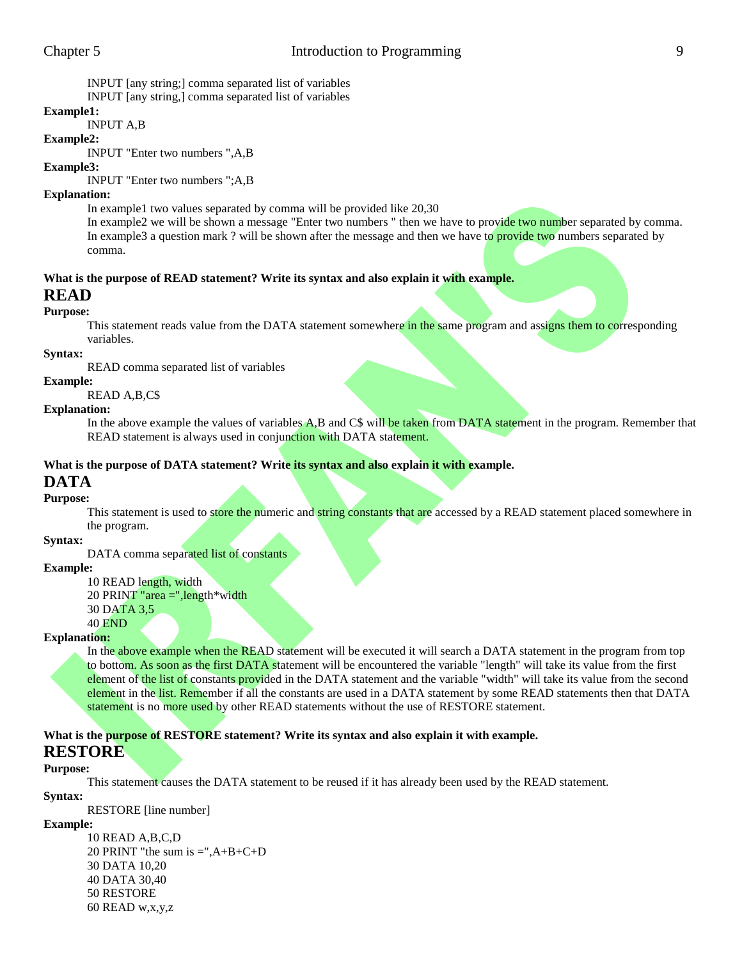INPUT [any string;] comma separated list of variables

INPUT [any string,] comma separated list of variables

# **Example1:**

INPUT A,B

#### **Example2:**

INPUT "Enter two numbers ",A,B

# **Example3:**

INPUT "Enter two numbers ";A,B

### **Explanation:**

In example1 two values separated by comma will be provided like 20,30

In example2 we will be shown a message "Enter two numbers " then we have to provide two number separated by comma. In example3 a question mark ? will be shown after the message and then we have to provide two numbers separated by comma.

# **What is the purpose of READ statement? Write its syntax and also explain it with example.**

# **READ**

# **Purpose:**

This statement reads value from the DATA statement somewhere in the same program and assigns them to corresponding variables.

# **Syntax:**

READ comma separated list of variables

#### **Example:**

READ A,B,C\$

# **Explanation:**

In the above example the values of variables A,B and C\$ will be taken from DATA statement in the program. Remember that READ statement is always used in conjunction with DATA statement.

# **What is the purpose of DATA statement? Write its syntax and also explain it with example.**

# **DATA**

# **Purpose:**

This statement is used to store the numeric and string constants that are accessed by a READ statement placed somewhere in the program.

#### **Syntax:**

DATA comma separated list of constants

# **Example:**

- 10 READ length, width
- 20 PRINT "area =",length\*width
- 30 DATA 3,5

# 40 END

# **Explanation:**

In the above example when the READ statement will be executed it will search a DATA statement in the program from top to bottom. As soon as the first DATA statement will be encountered the variable "length" will take its value from the first element of the list of constants provided in the DATA statement and the variable "width" will take its value from the second element in the list. Remember if all the constants are used in a DATA statement by some READ statements then that DATA statement is no more used by other READ statements without the use of RESTORE statement.

# **What is the purpose of RESTORE statement? Write its syntax and also explain it with example. RESTORE**

# **Purpose:**

This statement causes the DATA statement to be reused if it has already been used by the READ statement.

**Syntax:** RESTORE [line number]

# **Example:**

10 READ A,B,C,D 20 PRINT "the sum is  $=$ ", $A+B+C+D$ 30 DATA 10,20 40 DATA 30,40 50 RESTORE 60 READ w,x,y,z